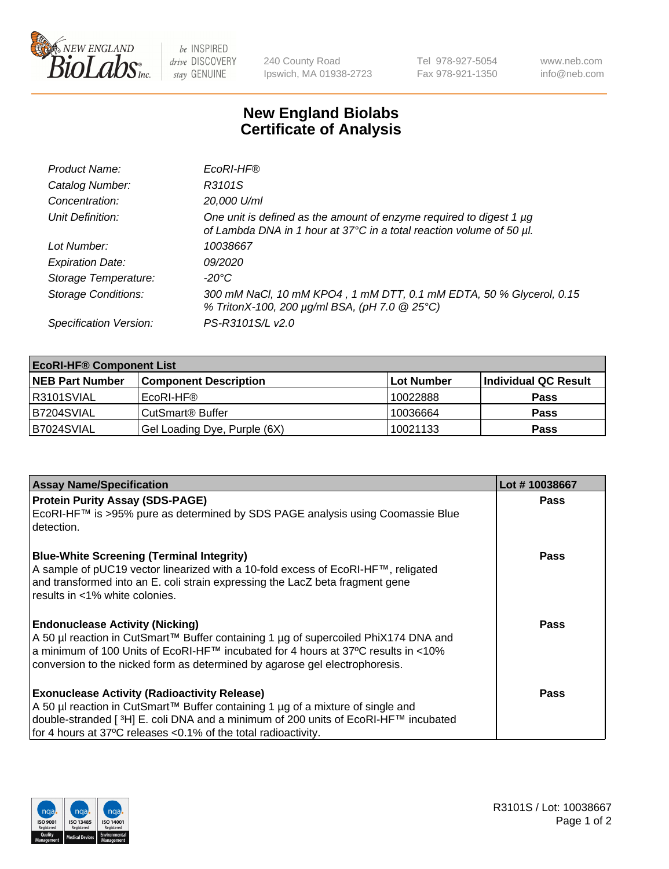

 $be$  INSPIRED drive DISCOVERY stay GENUINE

240 County Road Ipswich, MA 01938-2723 Tel 978-927-5054 Fax 978-921-1350 www.neb.com info@neb.com

## **New England Biolabs Certificate of Analysis**

| Product Name:              | EcoRI-HF®                                                                                                                                   |
|----------------------------|---------------------------------------------------------------------------------------------------------------------------------------------|
| Catalog Number:            | R3101S                                                                                                                                      |
| Concentration:             | 20,000 U/ml                                                                                                                                 |
| Unit Definition:           | One unit is defined as the amount of enzyme required to digest 1 µg<br>of Lambda DNA in 1 hour at 37°C in a total reaction volume of 50 µl. |
| Lot Number:                | 10038667                                                                                                                                    |
| <b>Expiration Date:</b>    | <i>09/2020</i>                                                                                                                              |
| Storage Temperature:       | -20°C                                                                                                                                       |
| <b>Storage Conditions:</b> | 300 mM NaCl, 10 mM KPO4, 1 mM DTT, 0.1 mM EDTA, 50 % Glycerol, 0.15<br>% TritonX-100, 200 µg/ml BSA, (pH 7.0 @ 25°C)                        |
| Specification Version:     | PS-R3101S/L v2.0                                                                                                                            |

| <b>EcoRI-HF® Component List</b> |                              |            |                      |  |  |
|---------------------------------|------------------------------|------------|----------------------|--|--|
| <b>NEB Part Number</b>          | <b>Component Description</b> | Lot Number | Individual QC Result |  |  |
| IR3101SVIAL                     | EcoRI-HF®                    | 10022888   | <b>Pass</b>          |  |  |
| B7204SVIAL                      | CutSmart <sup>®</sup> Buffer | 10036664   | <b>Pass</b>          |  |  |
| B7024SVIAL                      | Gel Loading Dye, Purple (6X) | 10021133   | <b>Pass</b>          |  |  |

| <b>Assay Name/Specification</b>                                                                                                                                  | Lot #10038667 |
|------------------------------------------------------------------------------------------------------------------------------------------------------------------|---------------|
| <b>Protein Purity Assay (SDS-PAGE)</b>                                                                                                                           | <b>Pass</b>   |
| EcoRI-HF™ is >95% pure as determined by SDS PAGE analysis using Coomassie Blue<br>detection.                                                                     |               |
| <b>Blue-White Screening (Terminal Integrity)</b>                                                                                                                 | Pass          |
| A sample of pUC19 vector linearized with a 10-fold excess of EcoRI-HF™, religated                                                                                |               |
| and transformed into an E. coli strain expressing the LacZ beta fragment gene<br>results in <1% white colonies.                                                  |               |
|                                                                                                                                                                  |               |
| <b>Endonuclease Activity (Nicking)</b>                                                                                                                           | Pass          |
| A 50 µl reaction in CutSmart™ Buffer containing 1 µg of supercoiled PhiX174 DNA and                                                                              |               |
| a minimum of 100 Units of EcoRI-HF™ incubated for 4 hours at 37°C results in <10%<br>conversion to the nicked form as determined by agarose gel electrophoresis. |               |
|                                                                                                                                                                  |               |
| <b>Exonuclease Activity (Radioactivity Release)</b>                                                                                                              | Pass          |
| A 50 µl reaction in CutSmart™ Buffer containing 1 µg of a mixture of single and                                                                                  |               |
| double-stranded [ <sup>3</sup> H] E. coli DNA and a minimum of 200 units of EcoRI-HF™ incubated                                                                  |               |
| for 4 hours at 37°C releases <0.1% of the total radioactivity.                                                                                                   |               |